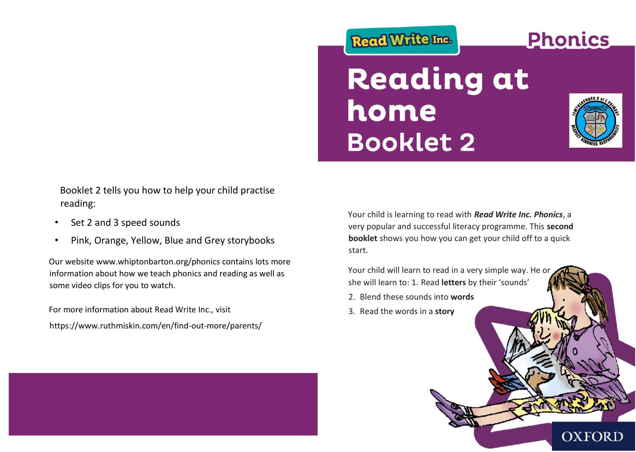# Read Write Inc.

# **Reading at** home **Booklet 2**



**Phonics** 

Booklet 2 tells you how to help your child practise reading:

- Set 2 and 3 speed sounds
- Pink, Orange, Yellow, Blue and Grey storybooks

Our website www.whiptonbarton.org/phonics contains lots more information about how we teach phonics and reading as well as some video clips for you to watch.

For more information about Read Write Inc., visit https://www.ruthmiskin.com/en/find-out-more/parents/

Your child is learning to read with *Read Write Inc. Phonics*, a very popular and successful literacy programme. This **second booklet** shows you how you can get your child off to a quick start.

Your child will learn to read in a very simple way. He or she will learn to: 1. Read **letters** by their 'sounds'

- 2. Blend these sounds into **words**
- 3. Read the words in a **story**

# **OXFORD**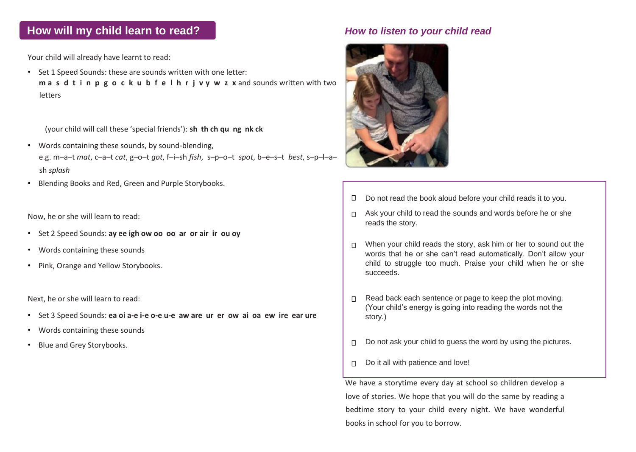## **How will my child learn to read?** *How to listen to your child read*

Your child will already have learnt to read:

• Set 1 Speed Sounds: these are sounds written with one letter: **m a s d t i n p g o c k u b f e l h r j v y w z x** and sounds written with two letters

(your child will call these 'special friends'): **sh th ch qu ng nk ck**

- Words containing these sounds, by sound-blending, e.g. m–a–t *mat*, c–a–t *cat*, g–o–t *got*, f–i–sh *fish*, s–p–o–t *spot*, b–e–s–t *best*, s–p–l–a– sh *splash*
- Blending Books and Red, Green and Purple Storybooks.

Now, he or she will learn to read:

- Set 2 Speed Sounds: **ay ee igh ow oo oo ar or air ir ou oy**
- Words containing these sounds
- Pink, Orange and Yellow Storybooks.

Next, he or she will learn to read:

- Set 3 Speed Sounds: **ea oi a-e i-e o-e u-e aw are ur er ow ai oa ew ire ear ure**
- Words containing these sounds
- Blue and Grey Storybooks.
- Do not read the book aloud before your child reads it to you.  $\Box$
- $\Box$  Ask your child to read the sounds and words before he or she reads the story.
- $\Box$  When your child reads the story, ask him or her to sound out the words that he or she can't read automatically. Don't allow your child to struggle too much. Praise your child when he or she succeeds.
- Read back each sentence or page to keep the plot moving.  $\Box$ (Your child's energy is going into reading the words not the story.)
- Do not ask your child to guess the word by using the pictures.  $\Box$
- Do it all with patience and love! $\Box$

We have a storytime every day at school so children develop a love of stories. We hope that you will do the same by reading a bedtime story to your child every night. We have wonderful books in school for you to borrow.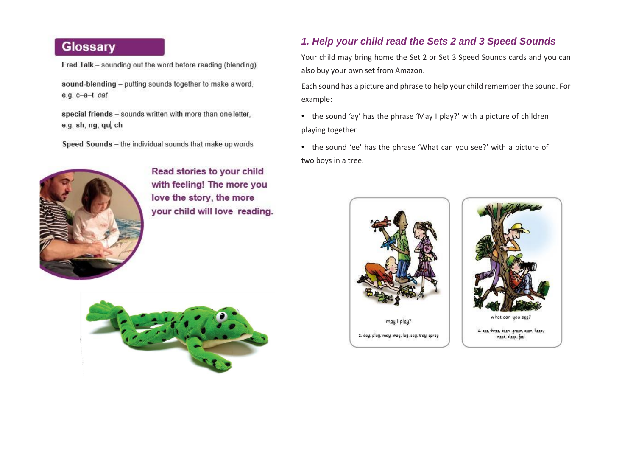# Glossary

Fred Talk - sounding out the word before reading (blending)

sound-blending - putting sounds together to make a word, e.g. c-a-t cat

special friends - sounds written with more than one letter. e.g. sh, ng, qui ch

Speed Sounds - the individual sounds that make up words



Read stories to your child with feeling! The more you love the story, the more your child will love reading.



### *1. Help your child read the Sets 2 and 3 Speed Sounds*

Your child may bring home the Set 2 or Set 3 Speed Sounds cards and you can also buy your own set from Amazon.

Each sound has a picture and phrase to help your child remember the sound. For example:

• the sound 'ay' has the phrase 'May I play?' with a picture of children playing together

• the sound 'ee' has the phrase 'What can you see?' with a picture of two boys in a tree.